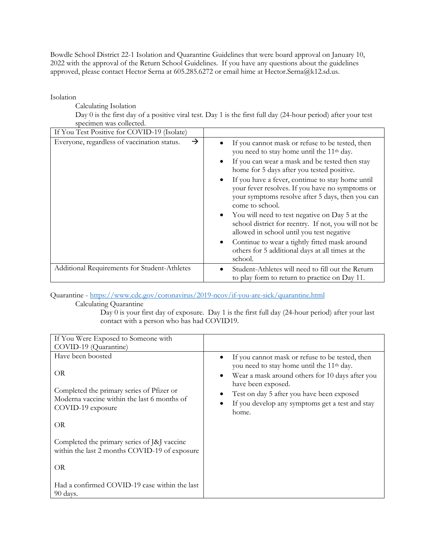Bowdle School District 22-1 Isolation and Quarantine Guidelines that were board approval on January 10, 2022 with the approval of the Return School Guidelines. If you have any questions about the guidelines approved, please contact Hector Serna at 605.285.6272 or email hime at Hector.Serna@k12.sd.us.

Isolation

Calculating Isolation

Day 0 is the first day of a positive viral test. Day 1 is the first full day (24-hour period) after your test specimen was collected.

| If You Test Positive for COVID-19 (Isolate)                  |                                                                                                                                                                                                                                                                                                                                                                                                                                                                                                                                                                                                                                                                                                           |
|--------------------------------------------------------------|-----------------------------------------------------------------------------------------------------------------------------------------------------------------------------------------------------------------------------------------------------------------------------------------------------------------------------------------------------------------------------------------------------------------------------------------------------------------------------------------------------------------------------------------------------------------------------------------------------------------------------------------------------------------------------------------------------------|
| $\rightarrow$<br>Everyone, regardless of vaccination status. | If you cannot mask or refuse to be tested, then<br>you need to stay home until the 11 <sup>th</sup> day.<br>If you can wear a mask and be tested then stay<br>٠<br>home for 5 days after you tested positive.<br>If you have a fever, continue to stay home until<br>$\bullet$<br>your fever resolves. If you have no symptoms or<br>your symptoms resolve after 5 days, then you can<br>come to school.<br>You will need to test negative on Day 5 at the<br>$\bullet$<br>school district for reentry. If not, you will not be<br>allowed in school until you test negative<br>Continue to wear a tightly fitted mask around<br>$\bullet$<br>others for 5 additional days at all times at the<br>school. |
| Additional Requirements for Student-Athletes                 | Student-Athletes will need to fill out the Return<br>to play form to return to practice on Day 11.                                                                                                                                                                                                                                                                                                                                                                                                                                                                                                                                                                                                        |

Quarantine - https://www.cdc.gov/coronavirus/2019-ncov/if-you-are-sick/quarantine.html

Calculating Quarantine

Day 0 is your first day of exposure. Day 1 is the first full day (24-hour period) after your last contact with a person who has had COVID19.

| If You Were Exposed to Someone with                                                          |                                                                                                                       |
|----------------------------------------------------------------------------------------------|-----------------------------------------------------------------------------------------------------------------------|
| COVID-19 (Quarantine)                                                                        |                                                                                                                       |
| Have been boosted                                                                            | If you cannot mask or refuse to be tested, then<br>$\bullet$<br>you need to stay home until the 11 <sup>th</sup> day. |
| OR                                                                                           | Wear a mask around others for 10 days after you<br>$\bullet$<br>have been exposed.                                    |
| Completed the primary series of Pfizer or                                                    | Test on day 5 after you have been exposed                                                                             |
| Moderna vaccine within the last 6 months of<br>COVID-19 exposure                             | If you develop any symptoms get a test and stay<br>home.                                                              |
| OR                                                                                           |                                                                                                                       |
| Completed the primary series of [&] vaccine<br>within the last 2 months COVID-19 of exposure |                                                                                                                       |
| OR                                                                                           |                                                                                                                       |
| Had a confirmed COVID-19 case within the last<br>90 days.                                    |                                                                                                                       |